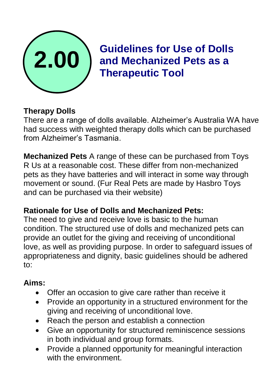

**Guidelines for Use of Dolls and Mechanized Pets as a Therapeutic Tool**

### **Therapy Dolls**

There are a range of dolls available. Alzheimer's Australia WA have had success with weighted therapy dolls which can be purchased from Alzheimer's Tasmania.

**Mechanized Pets** A range of these can be purchased from Toys R Us at a reasonable cost. These differ from non-mechanized pets as they have batteries and will interact in some way through movement or sound. (Fur Real Pets are made by Hasbro Toys and can be purchased via their website)

#### **Rationale for Use of Dolls and Mechanized Pets:**

The need to give and receive love is basic to the human condition. The structured use of dolls and mechanized pets can provide an outlet for the giving and receiving of unconditional love, as well as providing purpose. In order to safeguard issues of appropriateness and dignity, basic guidelines should be adhered to:

#### **Aims:**

- Offer an occasion to give care rather than receive it
- Provide an opportunity in a structured environment for the giving and receiving of unconditional love.
- Reach the person and establish a connection
- Give an opportunity for structured reminiscence sessions in both individual and group formats.
- Provide a planned opportunity for meaningful interaction with the environment.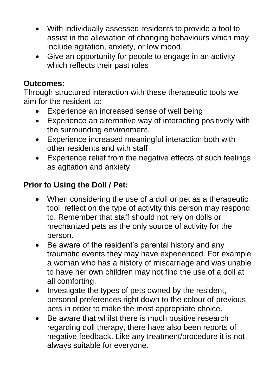- With individually assessed residents to provide a tool to assist in the alleviation of changing behaviours which may include agitation, anxiety, or low mood.
- Give an opportunity for people to engage in an activity which reflects their past roles

### **Outcomes:**

Through structured interaction with these therapeutic tools we aim for the resident to:

- Experience an increased sense of well being
- Experience an alternative way of interacting positively with the surrounding environment.
- Experience increased meaningful interaction both with other residents and with staff
- Experience relief from the negative effects of such feelings as agitation and anxiety

# **Prior to Using the Doll / Pet:**

- When considering the use of a doll or pet as a therapeutic tool, reflect on the type of activity this person may respond to. Remember that staff should not rely on dolls or mechanized pets as the only source of activity for the person.
- Be aware of the resident's parental history and any traumatic events they may have experienced. For example a woman who has a history of miscarriage and was unable to have her own children may not find the use of a doll at all comforting.
- Investigate the types of pets owned by the resident, personal preferences right down to the colour of previous pets in order to make the most appropriate choice.
- Be aware that whilst there is much positive research regarding doll therapy, there have also been reports of negative feedback. Like any treatment/procedure it is not always suitable for everyone.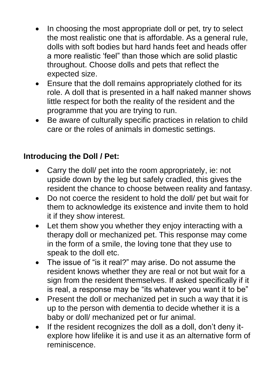- In choosing the most appropriate doll or pet, try to select the most realistic one that is affordable. As a general rule, dolls with soft bodies but hard hands feet and heads offer a more realistic 'feel" than those which are solid plastic throughout. Choose dolls and pets that reflect the expected size.
- Ensure that the doll remains appropriately clothed for its role. A doll that is presented in a half naked manner shows little respect for both the reality of the resident and the programme that you are trying to run.
- Be aware of culturally specific practices in relation to child care or the roles of animals in domestic settings.

### **Introducing the Doll / Pet:**

- Carry the doll/ pet into the room appropriately, ie: not upside down by the leg but safely cradled, this gives the resident the chance to choose between reality and fantasy.
- Do not coerce the resident to hold the doll/ pet but wait for them to acknowledge its existence and invite them to hold it if they show interest.
- Let them show you whether they enjoy interacting with a therapy doll or mechanized pet. This response may come in the form of a smile, the loving tone that they use to speak to the doll etc.
- The issue of "is it real?" may arise. Do not assume the resident knows whether they are real or not but wait for a sign from the resident themselves. If asked specifically if it is real, a response may be "its whatever you want it to be"
- Present the doll or mechanized pet in such a way that it is up to the person with dementia to decide whether it is a baby or doll/ mechanized pet or fur animal.
- If the resident recognizes the doll as a doll, don't deny itexplore how lifelike it is and use it as an alternative form of reminiscence.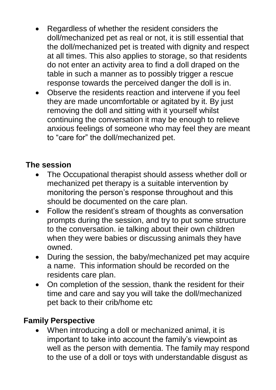- Regardless of whether the resident considers the doll/mechanized pet as real or not, it is still essential that the doll/mechanized pet is treated with dignity and respect at all times. This also applies to storage, so that residents do not enter an activity area to find a doll draped on the table in such a manner as to possibly trigger a rescue response towards the perceived danger the doll is in.
- Observe the residents reaction and intervene if you feel they are made uncomfortable or agitated by it. By just removing the doll and sitting with it yourself whilst continuing the conversation it may be enough to relieve anxious feelings of someone who may feel they are meant to "care for" the doll/mechanized pet.

# **The session**

- The Occupational therapist should assess whether doll or mechanized pet therapy is a suitable intervention by monitoring the person's response throughout and this should be documented on the care plan.
- Follow the resident's stream of thoughts as conversation prompts during the session, and try to put some structure to the conversation. ie talking about their own children when they were babies or discussing animals they have owned.
- During the session, the baby/mechanized pet may acquire a name. This information should be recorded on the residents care plan.
- On completion of the session, thank the resident for their time and care and say you will take the doll/mechanized pet back to their crib/home etc

### **Family Perspective**

 When introducing a doll or mechanized animal, it is important to take into account the family's viewpoint as well as the person with dementia. The family may respond to the use of a doll or toys with understandable disgust as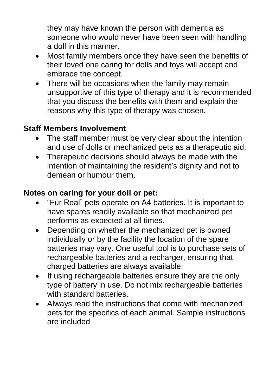they may have known the person with dementia as someone who would never have been seen with handling a doll in this manner.

- Most family members once they have seen the benefits of their loved one caring for dolls and toys will accept and embrace the concept.
- There will be occasions when the family may remain unsupportive of this type of therapy and it is recommended that you discuss the benefits with them and explain the reasons why this type of therapy was chosen.

### **Staff Members Involvement**

- The staff member must be very clear about the intention and use of dolls or mechanized pets as a therapeutic aid.
- Therapeutic decisions should always be made with the intention of maintaining the resident's dignity and not to demean or humour them.

### **Notes on caring for your doll or pet:**

- "Fur Real" pets operate on A4 batteries. It is important to have spares readily available so that mechanized pet performs as expected at all times.
- Depending on whether the mechanized pet is owned individually or by the facility the location of the spare batteries may vary. One useful tool is to purchase sets of rechargeable batteries and a recharger, ensuring that charged batteries are always available.
- If using rechargeable batteries ensure they are the only type of battery in use. Do not mix rechargeable batteries with standard batteries.
- Always read the instructions that come with mechanized pets for the specifics of each animal. Sample instructions are included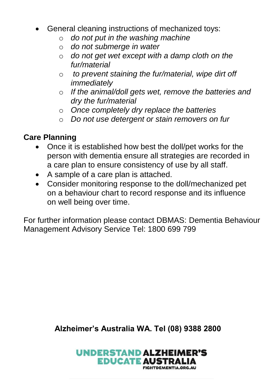- General cleaning instructions of mechanized toys:
	- o *do not put in the washing machine*
	- o *do not submerge in water*
	- o *do not get wet except with a damp cloth on the fur/material*
	- o *to prevent staining the fur/material, wipe dirt off immediately*
	- o *If the animal/doll gets wet, remove the batteries and dry the fur/material*
	- o *Once completely dry replace the batteries*
	- o *Do not use detergent or stain removers on fur*

### **Care Planning**

- Once it is established how best the doll/pet works for the person with dementia ensure all strategies are recorded in a care plan to ensure consistency of use by all staff.
- A sample of a care plan is attached.
- Consider monitoring response to the doll/mechanized pet on a behaviour chart to record response and its influence on well being over time.

For further information please contact DBMAS: Dementia Behaviour Management Advisory Service Tel: 1800 699 799

**Alzheimer's Australia WA. Tel (08) 9388 2800**